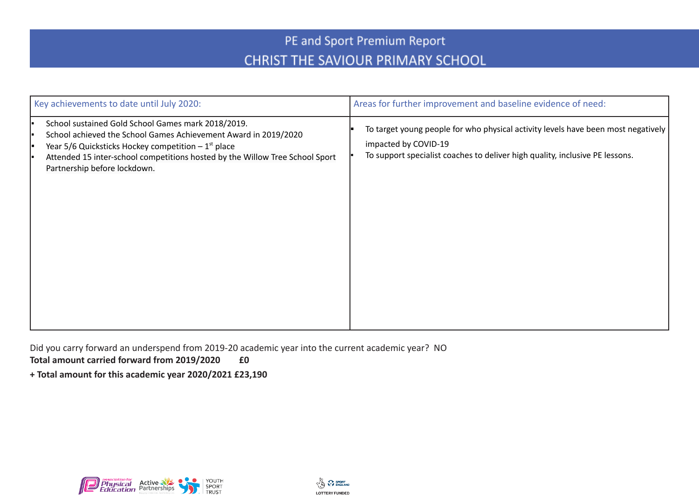## PE and Sport Premium Report CHRIST THE SAVIOUR PRIMARY SCHOOL

| Key achievements to date until July 2020:                                                                                                                                                                                                                                                        | Areas for further improvement and baseline evidence of need:                                                                                                                              |
|--------------------------------------------------------------------------------------------------------------------------------------------------------------------------------------------------------------------------------------------------------------------------------------------------|-------------------------------------------------------------------------------------------------------------------------------------------------------------------------------------------|
| School sustained Gold School Games mark 2018/2019.<br>School achieved the School Games Achievement Award in 2019/2020<br>Year 5/6 Quicksticks Hockey competition $-1^{st}$ place<br>Attended 15 inter-school competitions hosted by the Willow Tree School Sport<br>Partnership before lockdown. | To target young people for who physical activity levels have been most negatively<br>impacted by COVID-19<br>To support specialist coaches to deliver high quality, inclusive PE lessons. |

Did you carry forward an underspend from 2019-20 academic year into the current academic year? NO Total amount carried forward from 2019/2020 **£0** 

**+ Total amount for this academic year 2020/2021 £23,190**



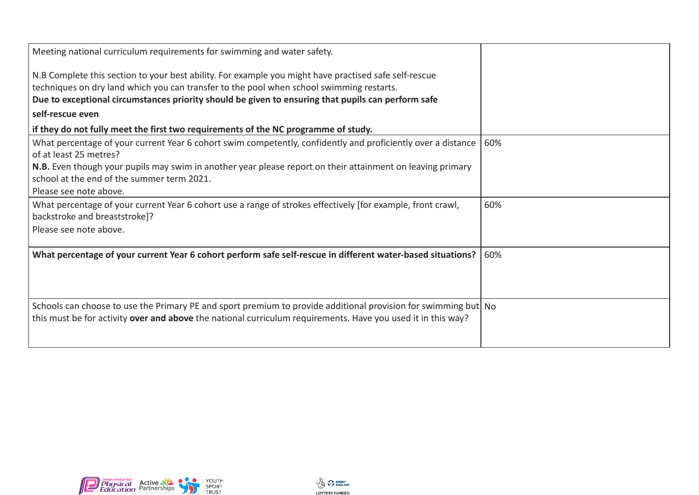| Meeting national curriculum requirements for swimming and water safety.                                                                                                                                                                                                                                 |     |
|---------------------------------------------------------------------------------------------------------------------------------------------------------------------------------------------------------------------------------------------------------------------------------------------------------|-----|
| N.B Complete this section to your best ability. For example you might have practised safe self-rescue<br>techniques on dry land which you can transfer to the pool when school swimming restarts.<br>Due to exceptional circumstances priority should be given to ensuring that pupils can perform safe |     |
| self-rescue even                                                                                                                                                                                                                                                                                        |     |
| if they do not fully meet the first two requirements of the NC programme of study.                                                                                                                                                                                                                      |     |
| What percentage of your current Year 6 cohort swim competently, confidently and proficiently over a distance<br>of at least 25 metres?                                                                                                                                                                  | 60% |
| N.B. Even though your pupils may swim in another year please report on their attainment on leaving primary<br>school at the end of the summer term 2021.                                                                                                                                                |     |
| Please see note above.                                                                                                                                                                                                                                                                                  |     |
| What percentage of your current Year 6 cohort use a range of strokes effectively [for example, front crawl,<br>backstroke and breaststroke]?                                                                                                                                                            | 60% |
| Please see note above.                                                                                                                                                                                                                                                                                  |     |
| What percentage of your current Year 6 cohort perform safe self-rescue in different water-based situations?                                                                                                                                                                                             | 60% |
| Schools can choose to use the Primary PE and sport premium to provide additional provision for swimming but No<br>this must be for activity over and above the national curriculum requirements. Have you used it in this way?                                                                          |     |



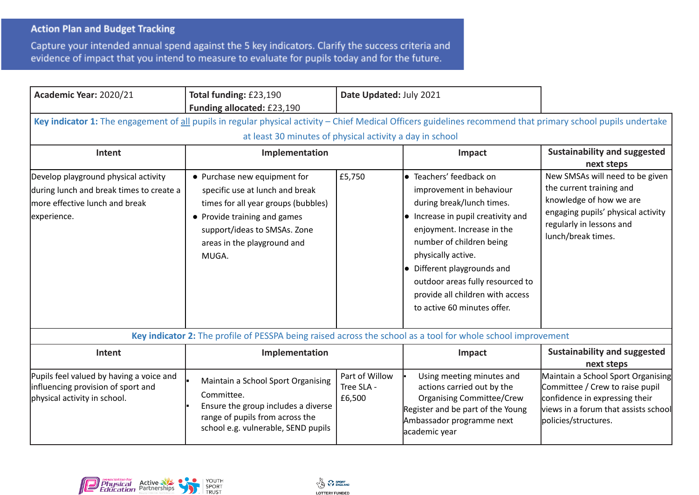## **Action Plan and Budget Tracking**

Capture your intended annual spend against the 5 key indicators. Clarify the success criteria and evidence of impact that you intend to measure to evaluate for pupils today and for the future.

| Academic Year: 2020/21                                                                                                                                        | Total funding: £23,190<br>Funding allocated: £23,190                                                                                                                                                                                                                                         | Date Updated: July 2021                |                                                                                                                                                                                                                                                                                     |                                                                                                                                                                                                                                     |
|---------------------------------------------------------------------------------------------------------------------------------------------------------------|----------------------------------------------------------------------------------------------------------------------------------------------------------------------------------------------------------------------------------------------------------------------------------------------|----------------------------------------|-------------------------------------------------------------------------------------------------------------------------------------------------------------------------------------------------------------------------------------------------------------------------------------|-------------------------------------------------------------------------------------------------------------------------------------------------------------------------------------------------------------------------------------|
| Key indicator 1: The engagement of all pupils in regular physical activity - Chief Medical Officers guidelines recommend that primary school pupils undertake |                                                                                                                                                                                                                                                                                              |                                        |                                                                                                                                                                                                                                                                                     |                                                                                                                                                                                                                                     |
| Intent<br>Develop playground physical activity<br>during lunch and break times to create a<br>more effective lunch and break<br>experience.                   | at least 30 minutes of physical activity a day in school<br>Implementation<br>• Purchase new equipment for<br>specific use at lunch and break<br>times for all year groups (bubbles)<br>• Provide training and games<br>support/ideas to SMSAs. Zone<br>areas in the playground and<br>MUGA. | £5,750                                 | Impact<br>• Teachers' feedback on<br>improvement in behaviour<br>during break/lunch times.<br>• Increase in pupil creativity and<br>enjoyment. Increase in the<br>number of children being<br>physically active.<br>• Different playgrounds and<br>outdoor areas fully resourced to | <b>Sustainability and suggested</b><br>next steps<br>New SMSAs will need to be given<br>the current training and<br>knowledge of how we are<br>engaging pupils' physical activity<br>regularly in lessons and<br>lunch/break times. |
|                                                                                                                                                               | Key indicator 2: The profile of PESSPA being raised across the school as a tool for whole school improvement                                                                                                                                                                                 |                                        | provide all children with access<br>to active 60 minutes offer.                                                                                                                                                                                                                     |                                                                                                                                                                                                                                     |
| Intent                                                                                                                                                        | Implementation                                                                                                                                                                                                                                                                               |                                        | Impact                                                                                                                                                                                                                                                                              | <b>Sustainability and suggested</b><br>next steps                                                                                                                                                                                   |
| Pupils feel valued by having a voice and<br>influencing provision of sport and<br>physical activity in school.                                                | Maintain a School Sport Organising<br>Committee.<br>Ensure the group includes a diverse<br>range of pupils from across the<br>school e.g. vulnerable, SEND pupils                                                                                                                            | Part of Willow<br>Tree SLA -<br>£6,500 | Using meeting minutes and<br>actions carried out by the<br><b>Organising Committee/Crew</b><br>Register and be part of the Young<br>Ambassador programme next<br>academic year                                                                                                      | Maintain a School Sport Organising<br>Committee / Crew to raise pupil<br>confidence in expressing their<br>views in a forum that assists school<br>policies/structures.                                                             |



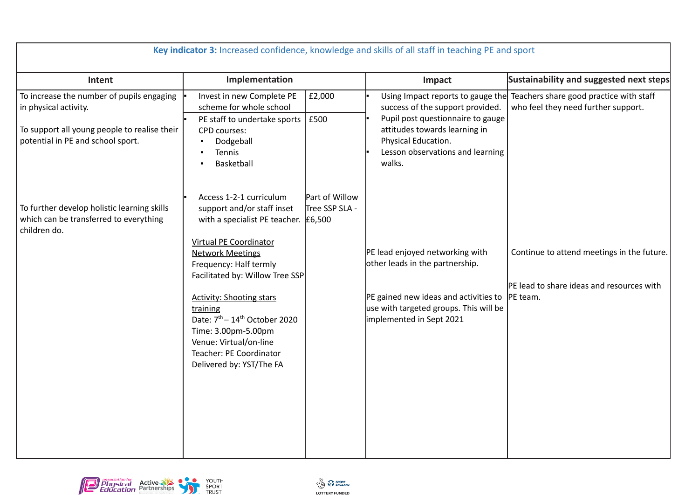| Key indicator 3: Increased confidence, knowledge and skills of all staff in teaching PE and sport                                                       |                                                                                                                                                                                                                                                                                                                                                                                                                                          |                                  |                                                                                                                                                                                                                  |                                                                                          |  |
|---------------------------------------------------------------------------------------------------------------------------------------------------------|------------------------------------------------------------------------------------------------------------------------------------------------------------------------------------------------------------------------------------------------------------------------------------------------------------------------------------------------------------------------------------------------------------------------------------------|----------------------------------|------------------------------------------------------------------------------------------------------------------------------------------------------------------------------------------------------------------|------------------------------------------------------------------------------------------|--|
| Intent                                                                                                                                                  | Implementation                                                                                                                                                                                                                                                                                                                                                                                                                           |                                  | Impact                                                                                                                                                                                                           | Sustainability and suggested next steps                                                  |  |
| To increase the number of pupils engaging<br>in physical activity.<br>To support all young people to realise their<br>potential in PE and school sport. | Invest in new Complete PE<br>scheme for whole school<br>PE staff to undertake sports  <br>CPD courses:<br>Dodgeball<br>Tennis<br>Basketball                                                                                                                                                                                                                                                                                              | £2,000<br>£500                   | Using Impact reports to gauge the<br>success of the support provided.<br>Pupil post questionnaire to gauge<br>attitudes towards learning in<br>Physical Education.<br>Lesson observations and learning<br>walks. | Teachers share good practice with staff<br>who feel they need further support.           |  |
| To further develop holistic learning skills<br>which can be transferred to everything<br>children do.                                                   | Access 1-2-1 curriculum<br>support and/or staff inset<br>with a specialist PE teacher. $E6,500$<br><b>Virtual PE Coordinator</b><br><b>Network Meetings</b><br>Frequency: Half termly<br>Facilitated by: Willow Tree SSP<br><b>Activity: Shooting stars</b><br>training<br>Date: 7 <sup>th</sup> - 14 <sup>th</sup> October 2020<br>Time: 3.00pm-5.00pm<br>Venue: Virtual/on-line<br>Teacher: PE Coordinator<br>Delivered by: YST/The FA | Part of Willow<br>Tree SSP SLA - | PE lead enjoyed networking with<br>other leads in the partnership.<br>$ PE$ gained new ideas and activities to $ PE$ team.<br>use with targeted groups. This will be<br>implemented in Sept 2021                 | Continue to attend meetings in the future.<br>IPE lead to share ideas and resources with |  |



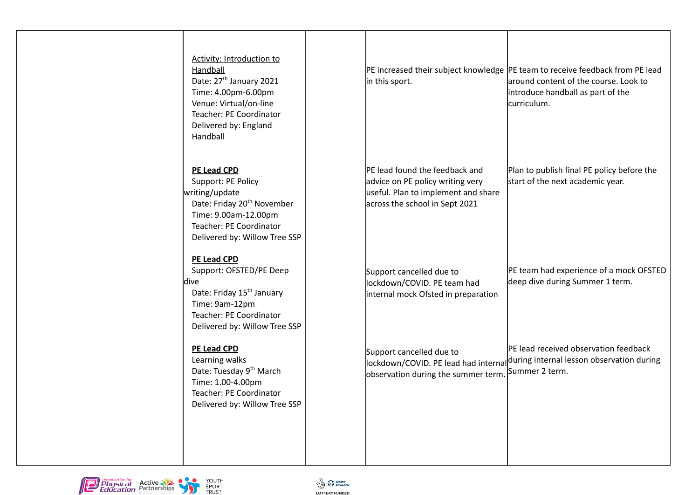| <b>Activity: Introduction to</b><br>Handball<br>Date: 27 <sup>th</sup> January 2021<br>Time: 4.00pm-6.00pm<br>Venue: Virtual/on-line<br>Teacher: PE Coordinator<br>Delivered by: England<br>Handball | in this sport.                                                                                                                              | PE increased their subject knowledge PE team to receive feedback from PE lead<br>around content of the course. Look to<br>introduce handball as part of the<br>curriculum. |
|------------------------------------------------------------------------------------------------------------------------------------------------------------------------------------------------------|---------------------------------------------------------------------------------------------------------------------------------------------|----------------------------------------------------------------------------------------------------------------------------------------------------------------------------|
| PE Lead CPD<br>Support: PE Policy<br>writing/update<br>Date: Friday 20 <sup>th</sup> November<br>Time: 9.00am-12.00pm<br>Teacher: PE Coordinator<br>Delivered by: Willow Tree SSP                    | PE lead found the feedback and<br>advice on PE policy writing very<br>useful. Plan to implement and share<br>across the school in Sept 2021 | Plan to publish final PE policy before the<br>start of the next academic year.                                                                                             |
| <b>PE Lead CPD</b><br>Support: OFSTED/PE Deep<br>dive<br>Date: Friday 15 <sup>th</sup> January<br>Time: 9am-12pm<br>Teacher: PE Coordinator<br>Delivered by: Willow Tree SSP                         | Support cancelled due to<br>lockdown/COVID. PE team had<br>internal mock Ofsted in preparation                                              | PE team had experience of a mock OFSTED<br>deep dive during Summer 1 term.                                                                                                 |
| <b>PE Lead CPD</b><br>Learning walks<br>Date: Tuesday 9 <sup>th</sup> March<br>Time: 1.00-4.00pm<br>Teacher: PE Coordinator<br>Delivered by: Willow Tree SSP                                         | Support cancelled due to<br>observation during the summer term                                                                              | PE lead received observation feedback<br> lockdown/COVID. PE lead had internal during internal lesson observation during<br>Summer 2 term.                                 |
|                                                                                                                                                                                                      |                                                                                                                                             |                                                                                                                                                                            |





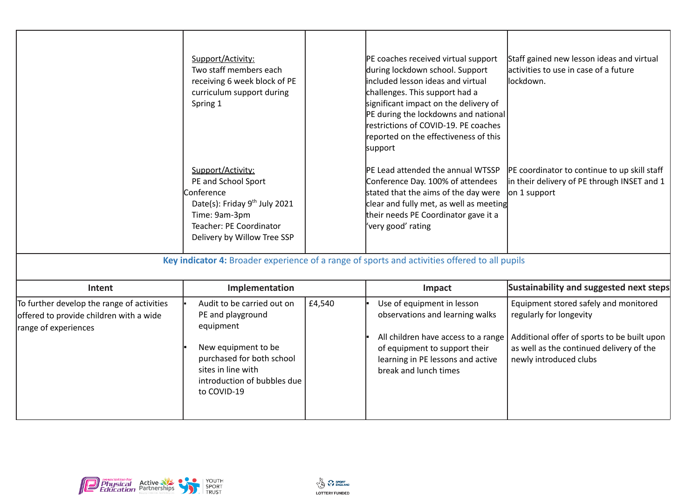|                                                                 | Support/Activity:<br>Two staff members each<br>receiving 6 week block of PE<br>curriculum support during<br>Spring 1 |        | PE coaches received virtual support<br>during lockdown school. Support<br>lincluded lesson ideas and virtual<br>challenges. This support had a<br>significant impact on the delivery of<br>PE during the lockdowns and national<br>restrictions of COVID-19. PE coaches<br>reported on the effectiveness of this<br>support | Staff gained new lesson ideas and virtual<br>activities to use in case of a future<br>llockdown. |
|-----------------------------------------------------------------|----------------------------------------------------------------------------------------------------------------------|--------|-----------------------------------------------------------------------------------------------------------------------------------------------------------------------------------------------------------------------------------------------------------------------------------------------------------------------------|--------------------------------------------------------------------------------------------------|
|                                                                 | Support/Activity:                                                                                                    |        | PE Lead attended the annual WTSSP                                                                                                                                                                                                                                                                                           | PE coordinator to continue to up skill staff                                                     |
|                                                                 | PE and School Sport                                                                                                  |        | Conference Day. 100% of attendees                                                                                                                                                                                                                                                                                           | in their delivery of PE through INSET and 1                                                      |
|                                                                 | Conference<br>Date(s): Friday 9 <sup>th</sup> July 2021                                                              |        | stated that the aims of the day were<br>clear and fully met, as well as meeting                                                                                                                                                                                                                                             | on 1 support                                                                                     |
|                                                                 | Time: 9am-3pm                                                                                                        |        | their needs PE Coordinator gave it a                                                                                                                                                                                                                                                                                        |                                                                                                  |
|                                                                 | Teacher: PE Coordinator                                                                                              |        | 'very good' rating                                                                                                                                                                                                                                                                                                          |                                                                                                  |
|                                                                 | Delivery by Willow Tree SSP                                                                                          |        |                                                                                                                                                                                                                                                                                                                             |                                                                                                  |
|                                                                 |                                                                                                                      |        | Key indicator 4: Broader experience of a range of sports and activities offered to all pupils                                                                                                                                                                                                                               |                                                                                                  |
| Intent                                                          | Implementation                                                                                                       |        | Impact                                                                                                                                                                                                                                                                                                                      | Sustainability and suggested next steps                                                          |
| To further develop the range of activities                      | Audit to be carried out on                                                                                           | £4,540 | Use of equipment in lesson                                                                                                                                                                                                                                                                                                  | Equipment stored safely and monitored                                                            |
| offered to provide children with a wide<br>range of experiences | PE and playground<br>equipment                                                                                       |        | observations and learning walks                                                                                                                                                                                                                                                                                             | regularly for longevity                                                                          |
|                                                                 |                                                                                                                      |        | All children have access to a range                                                                                                                                                                                                                                                                                         | Additional offer of sports to be built upon                                                      |
|                                                                 | New equipment to be                                                                                                  |        | of equipment to support their                                                                                                                                                                                                                                                                                               | as well as the continued delivery of the                                                         |
|                                                                 | purchased for both school<br>sites in line with                                                                      |        | learning in PE lessons and active<br>break and lunch times                                                                                                                                                                                                                                                                  | newly introduced clubs                                                                           |
|                                                                 | introduction of bubbles due                                                                                          |        |                                                                                                                                                                                                                                                                                                                             |                                                                                                  |
|                                                                 | to COVID-19                                                                                                          |        |                                                                                                                                                                                                                                                                                                                             |                                                                                                  |
|                                                                 |                                                                                                                      |        |                                                                                                                                                                                                                                                                                                                             |                                                                                                  |
|                                                                 |                                                                                                                      |        |                                                                                                                                                                                                                                                                                                                             |                                                                                                  |



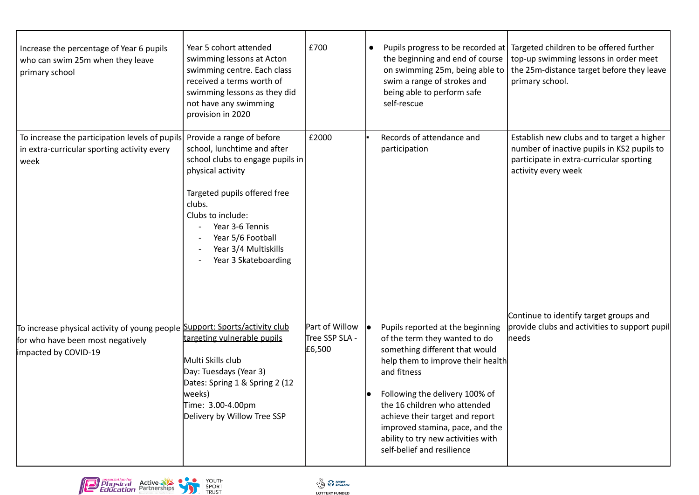| Increase the percentage of Year 6 pupils<br>who can swim 25m when they leave<br>primary school             | Year 5 cohort attended<br>swimming lessons at Acton<br>swimming centre. Each class<br>received a terms worth of<br>swimming lessons as they did<br>not have any swimming<br>provision in 2020                                                                            | £700                                       | Pupils progress to be recorded at<br>$\bullet$<br>the beginning and end of course<br>on swimming 25m, being able to<br>swim a range of strokes and<br>being able to perform safe<br>self-rescue                                                                                                                                                                                  | Targeted children to be offered further<br>top-up swimming lessons in order meet<br>the 25m-distance target before they leave<br>primary school.            |
|------------------------------------------------------------------------------------------------------------|--------------------------------------------------------------------------------------------------------------------------------------------------------------------------------------------------------------------------------------------------------------------------|--------------------------------------------|----------------------------------------------------------------------------------------------------------------------------------------------------------------------------------------------------------------------------------------------------------------------------------------------------------------------------------------------------------------------------------|-------------------------------------------------------------------------------------------------------------------------------------------------------------|
| To increase the participation levels of pupils<br>in extra-curricular sporting activity every<br>week      | Provide a range of before<br>school, lunchtime and after<br>school clubs to engage pupils in<br>physical activity<br>Targeted pupils offered free<br>clubs.<br>Clubs to include:<br>Year 3-6 Tennis<br>Year 5/6 Football<br>Year 3/4 Multiskills<br>Year 3 Skateboarding | £2000                                      | Records of attendance and<br>participation                                                                                                                                                                                                                                                                                                                                       | Establish new clubs and to target a higher<br>number of inactive pupils in KS2 pupils to<br>participate in extra-curricular sporting<br>activity every week |
| To increase physical activity of young people<br>for who have been most negatively<br>impacted by COVID-19 | Support: Sports/activity club<br>targeting vulnerable pupils<br>Multi Skills club<br>Day: Tuesdays (Year 3)<br>Dates: Spring 1 & Spring 2 (12)<br>weeks)<br>Time: 3.00-4.00pm<br>Delivery by Willow Tree SSP                                                             | Part of Willow<br>Tree SSP SLA -<br>£6,500 | Pupils reported at the beginning<br><b>le</b><br>of the term they wanted to do<br>something different that would<br>help them to improve their health<br>and fitness<br>Following the delivery 100% of<br>the 16 children who attended<br>achieve their target and report<br>improved stamina, pace, and the<br>ability to try new activities with<br>self-belief and resilience | Continue to identify target groups and<br>provide clubs and activities to support pupil<br> needs                                                           |



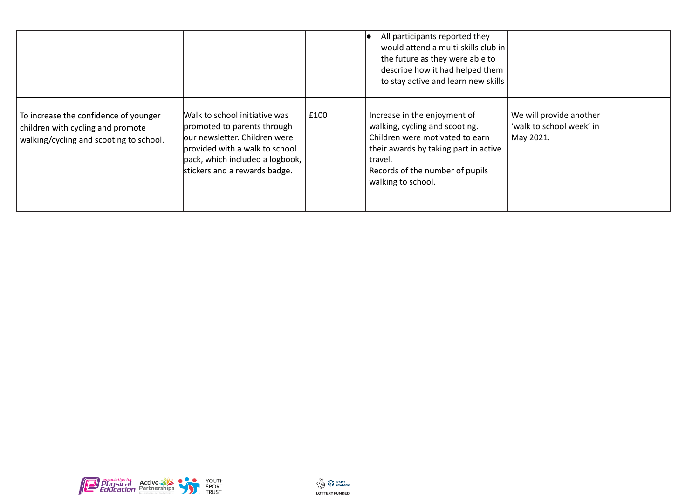|                                                                                                                       |                                                                                                                                                                                                     |      | All participants reported they<br>would attend a multi-skills club in<br>the future as they were able to<br>describe how it had helped them<br>to stay active and learn new skills                             |                                                                  |
|-----------------------------------------------------------------------------------------------------------------------|-----------------------------------------------------------------------------------------------------------------------------------------------------------------------------------------------------|------|----------------------------------------------------------------------------------------------------------------------------------------------------------------------------------------------------------------|------------------------------------------------------------------|
| To increase the confidence of younger<br>children with cycling and promote<br>walking/cycling and scooting to school. | Walk to school initiative was<br>promoted to parents through<br>our newsletter. Children were<br>provided with a walk to school<br>pack, which included a logbook,<br>stickers and a rewards badge. | £100 | Increase in the enjoyment of<br>walking, cycling and scooting.<br>Children were motivated to earn<br>their awards by taking part in active<br>travel.<br>Records of the number of pupils<br>walking to school. | We will provide another<br>'walk to school week' in<br>May 2021. |